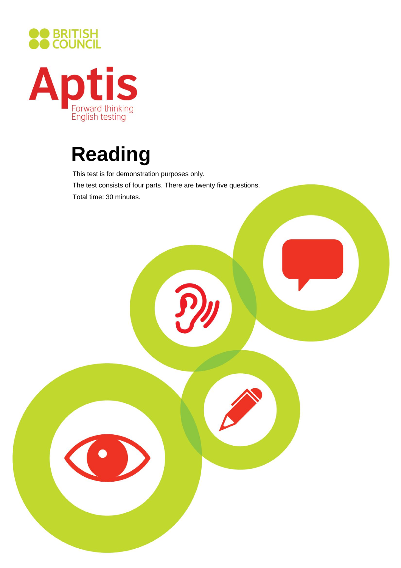



# **Reading**

This test is for demonstration purposes only. The test consists of four parts. There are twenty five questions. Total time: 30 minutes.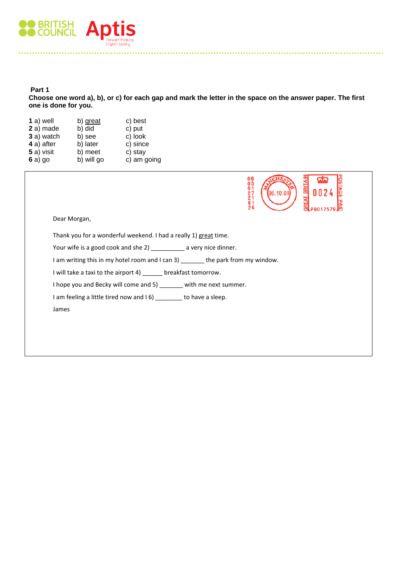

### **Part 1 Choose one word a), b), or c) for each gap and mark the letter in the space on the answer paper. The first one is done for you.**

| $1a)$ well | b) great   | c) best     |
|------------|------------|-------------|
| 2 a) made  | b) did     | c) put      |
| 3 a) watch | b) see     | c) look     |
| 4 a) after | b) later   | c) since    |
| 5 a) visit | b) meet    | c) stay     |
| 6a)go      | b) will go | c) am going |



Thank you for a wonderful weekend. I had a really 1) great time.

Your wife is a good cook and she 2) \_\_\_\_\_\_\_\_\_\_ a very nice dinner.

I am writing this in my hotel room and I can 3) \_\_\_\_\_\_\_ the park from my window.

I will take a taxi to the airport 4) \_\_\_\_\_\_ breakfast tomorrow.

I hope you and Becky will come and 5) \_\_\_\_\_\_\_ with me next summer.

I am feeling a little tired now and I 6) \_\_\_\_\_\_\_\_ to have a sleep.

James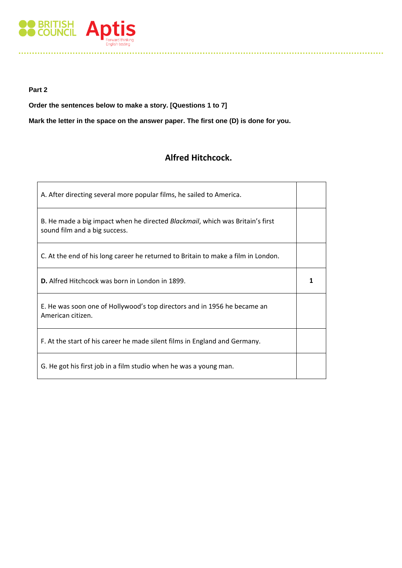

## **Part 2**

**Order the sentences below to make a story. [Questions 1 to 7]** 

**Mark the letter in the space on the answer paper. The first one (D) is done for you.** 

# **Alfred Hitchcock.**

| A. After directing several more popular films, he sailed to America.                                                   |  |  |
|------------------------------------------------------------------------------------------------------------------------|--|--|
| B. He made a big impact when he directed <i>Blackmail</i> , which was Britain's first<br>sound film and a big success. |  |  |
| C. At the end of his long career he returned to Britain to make a film in London.                                      |  |  |
| <b>D.</b> Alfred Hitchcock was born in London in 1899.                                                                 |  |  |
| E. He was soon one of Hollywood's top directors and in 1956 he became an<br>American citizen.                          |  |  |
| F. At the start of his career he made silent films in England and Germany.                                             |  |  |
| G. He got his first job in a film studio when he was a young man.                                                      |  |  |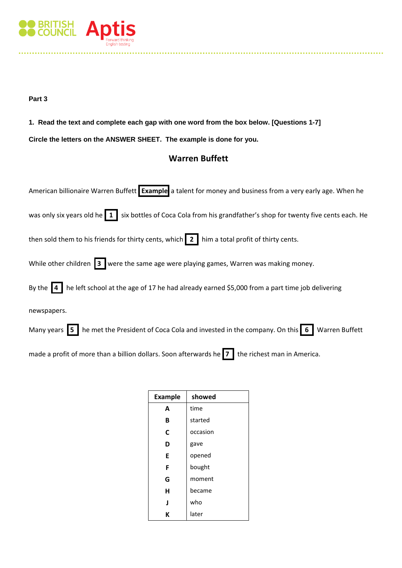

# **Part 3**

**1. Read the text and complete each gap with one word from the box below. [Questions 1-7]** 

**Circle the letters on the ANSWER SHEET. The example is done for you.** 

# **Warren Buffett**

| American billionaire Warren Buffett Example a talent for money and business from a very early age. When he                     |
|--------------------------------------------------------------------------------------------------------------------------------|
| was only six years old he $\vert 1 \vert$ six bottles of Coca Cola from his grandfather's shop for twenty five cents each. He  |
| then sold them to his friends for thirty cents, which $\vert 2 \vert$ him a total profit of thirty cents.                      |
| While other children $\overline{3}$ were the same age were playing games, Warren was making money.                             |
| By the $\boxed{4}$ he left school at the age of 17 he had already earned \$5,000 from a part time job delivering               |
| newspapers.                                                                                                                    |
| Many years $\overline{5}$ he met the President of Coca Cola and invested in the company. On this $\overline{6}$ Warren Buffett |
| made a profit of more than a billion dollars. Soon afterwards he $7 \mid$ the richest man in America.                          |

| <b>Example</b> | showed   |
|----------------|----------|
| A              | time     |
| B              | started  |
| C              | occasion |
| D              | gave     |
| E              | opened   |
| F              | bought   |
| G              | moment   |
| н              | became   |
| J              | who      |
| K              | later    |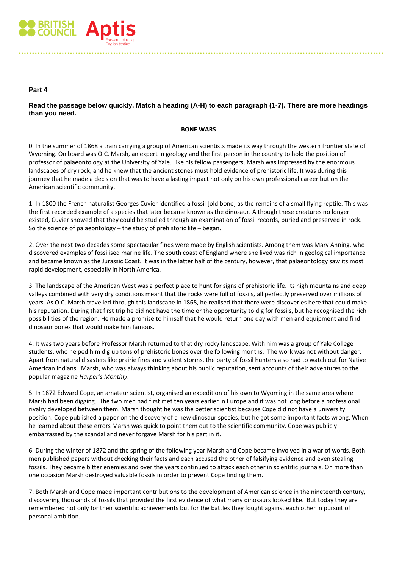

## **Part 4**

## **Read the passage below quickly. Match a heading (A-H) to each paragraph (1-7). There are more headings than you need.**

#### **BONE WARS**

0. In the summer of 1868 a train carrying a group of American scientists made its way through the western frontier state of Wyoming. On board was O.C. Marsh, an expert in geology and the first person in the country to hold the position of professor of palaeontology at the University of Yale. Like his fellow passengers, Marsh was impressed by the enormous landscapes of dry rock, and he knew that the ancient stones must hold evidence of prehistoric life. It was during this journey that he made a decision that was to have a lasting impact not only on his own professional career but on the American scientific community.

1. In 1800 the French naturalist Georges Cuvier identified a fossil [old bone] as the remains of a small flying reptile. This was the first recorded example of a species that later became known as the dinosaur. Although these creatures no longer existed, Cuvier showed that they could be studied through an examination of fossil records, buried and preserved in rock. So the science of palaeontology – the study of prehistoric life – began.

2. Over the next two decades some spectacular finds were made by English scientists. Among them was Mary Anning, who discovered examples of fossilised marine life. The south coast of England where she lived was rich in geological importance and became known as the Jurassic Coast. It was in the latter half of the century, however, that palaeontology saw its most rapid development, especially in North America.

3. The landscape of the American West was a perfect place to hunt for signs of prehistoric life. Its high mountains and deep valleys combined with very dry conditions meant that the rocks were full of fossils, all perfectly preserved over millions of years. As O.C. Marsh travelled through this landscape in 1868, he realised that there were discoveries here that could make his reputation. During that first trip he did not have the time or the opportunity to dig for fossils, but he recognised the rich possibilities of the region. He made a promise to himself that he would return one day with men and equipment and find dinosaur bones that would make him famous.

4. It was two years before Professor Marsh returned to that dry rocky landscape. With him was a group of Yale College students, who helped him dig up tons of prehistoric bones over the following months. The work was not without danger. Apart from natural disasters like prairie fires and violent storms, the party of fossil hunters also had to watch out for Native American Indians. Marsh, who was always thinking about his public reputation, sent accounts of their adventures to the popular magazine *Harper's Monthly*.

5. In 1872 Edward Cope, an amateur scientist, organised an expedition of his own to Wyoming in the same area where Marsh had been digging. The two men had first met ten years earlier in Europe and it was not long before a professional rivalry developed between them. Marsh thought he was the better scientist because Cope did not have a university position. Cope published a paper on the discovery of a new dinosaur species, but he got some important facts wrong. When he learned about these errors Marsh was quick to point them out to the scientific community. Cope was publicly embarrassed by the scandal and never forgave Marsh for his part in it.

6. During the winter of 1872 and the spring of the following year Marsh and Cope became involved in a war of words. Both men published papers without checking their facts and each accused the other of falsifying evidence and even stealing fossils. They became bitter enemies and over the years continued to attack each other in scientific journals. On more than one occasion Marsh destroyed valuable fossils in order to prevent Cope finding them.

7. Both Marsh and Cope made important contributions to the development of American science in the nineteenth century, discovering thousands of fossils that provided the first evidence of what many dinosaurs looked like. But today they are remembered not only for their scientific achievements but for the battles they fought against each other in pursuit of personal ambition.